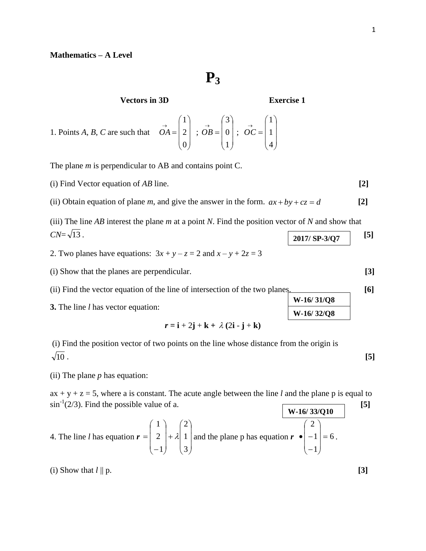## **Mathematics – A Level**

**P3**

**Vectors in 3D Exercise 1**

**W-16/ 31/Q8 W-16/ 32/Q8**

1. Points *A*, *B*, *C* are such that 
$$
\overrightarrow{OA} = \begin{pmatrix} 1 \\ 2 \\ 0 \end{pmatrix}
$$
;  $\overrightarrow{OB} = \begin{pmatrix} 3 \\ 0 \\ 1 \end{pmatrix}$ ;  $\overrightarrow{OC} = \begin{pmatrix} 1 \\ 1 \\ 4 \end{pmatrix}$ 

The plane *m* is perpendicular to AB and contains point C.

(i) Find Vector equation of *AB* line. **[2]**

(ii) Obtain equation of plane *m*, and give the answer in the form.  $ax + by + cz = d$  [2]

(iii) The line *AB* interest the plane *m* at a point *N*. Find the position vector of *N* and show that  $CN = \sqrt{13}$ . [5] **2017/ SP-3/Q7**

2. Two planes have equations:  $3x + y - z = 2$  and  $x - y + 2z = 3$ 

(i) Show that the planes are perpendicular. **[3]**

(ii) Find the vector equation of the line of intersection of the two planes. **[6]**

**3.** The line *l* has vector equation:

 $\mathbf{r} = \mathbf{i} + 2\mathbf{j} + \mathbf{k} + \lambda(2\mathbf{i} - \mathbf{j} + \mathbf{k})$ 

(i) Find the position vector of two points on the line whose distance from the origin is 10 . **[5]**

(ii) The plane *p* has equation:

 $ax + y + z = 5$ , where a is constant. The acute angle between the line *l* and the plane p is equal to  $\sin^{-1}(2/3)$ . Find the possible value of a. [5] **W-16/ 33/Q10**

4. The line *l* has equation 
$$
\mathbf{r} = \begin{pmatrix} 1 \\ 2 \\ -1 \end{pmatrix} + \lambda \begin{pmatrix} 2 \\ 1 \\ 3 \end{pmatrix}
$$
 and the plane p has equation  $\mathbf{r} \cdot \begin{pmatrix} 2 \\ -1 \\ -1 \end{pmatrix} = 6$ .

(i) Show that  $l \parallel p$ . **[3]**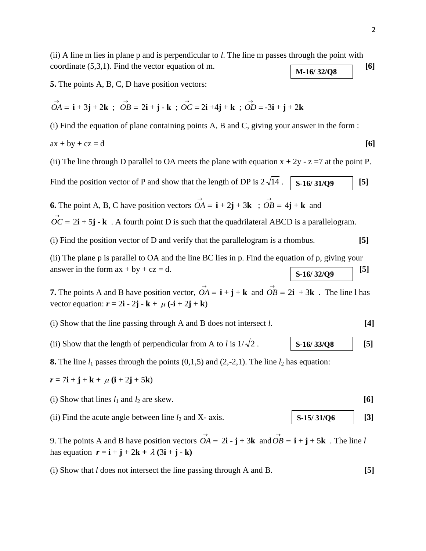(ii) A line m lies in plane p and is perpendicular to *l*. The line m passes through the point with coordinate  $(5,3,1)$ . Find the vector equation of m.  $\boxed{6}$ **M-16/ 32/Q8**

**5.** The points A, B, C, D have position vectors:

$$
\overrightarrow{OA} = \mathbf{i} + 3\mathbf{j} + 2\mathbf{k} \ ; \ \overrightarrow{OB} = 2\mathbf{i} + \mathbf{j} - \mathbf{k} \ ; \ \overrightarrow{OC} = 2\mathbf{i} + 4\mathbf{j} + \mathbf{k} \ ; \ \overrightarrow{OD} = -3\mathbf{i} + \mathbf{j} + 2\mathbf{k}
$$

(i) Find the equation of plane containing points A, B and C, giving your answer in the form :

$$
ax + by + cz = d \tag{6}
$$

(ii) The line through D parallel to OA meets the plane with equation  $x + 2y - z = 7$  at the point P.

Find the position vector of P and show that the length of DP is  $2\sqrt{14}$ .  $\begin{bmatrix} 14 \end{bmatrix}$  **S-16/31/Q9** [5]

**6.** The point A, B, C have position vectors  $\overrightarrow{OA} = \mathbf{i} + 2\mathbf{j} + 3\mathbf{k}$ ;  $\overrightarrow{OB} = 4\mathbf{j} + \mathbf{k}$  and

 $\overrightarrow{OC} = 2\mathbf{i} + 5\mathbf{j} - \mathbf{k}$ . A fourth point D is such that the quadrilateral ABCD is a parallelogram.

(i) Find the position vector of D and verify that the parallelogram is a rhombus. **[5]**

(ii) The plane p is parallel to OA and the line BC lies in p. Find the equation of p, giving your answer in the form  $ax + by + cz = d$ . [5] **S-16/ 32/Q9**

**7.** The points A and B have position vector,  $\overrightarrow{OA} = \mathbf{i} + \mathbf{j} + \mathbf{k}$  and  $\overrightarrow{OB} = 2\mathbf{i} + 3\mathbf{k}$ . The line l has vector equation:  $\mathbf{r} = 2\mathbf{i} - 2\mathbf{j} - \mathbf{k} + \mu(-\mathbf{i} + 2\mathbf{j} + \mathbf{k})$ 

- (i) Show that the line passing through A and B does not intersect *l*. **[4]**
- (ii) Show that the length of perpendicular from A to *l* is  $1/\sqrt{2}$ . 2 . **[5] S-16/ 33/Q8**

**8.** The line  $l_1$  passes through the points  $(0,1,5)$  and  $(2,-2,1)$ . The line  $l_2$  has equation:

- $r = 7i + j + k + \mu (i + 2j + 5k)$
- (i) Show that lines  $l_1$  and  $l_2$  are skew.  $\begin{bmatrix} 6 \end{bmatrix}$
- (ii) Find the acute angle between line  $l_2$  and X- axis. **[3]**  $\begin{bmatrix} 5.15/31/06 \end{bmatrix}$  [3] **S-15/ 31/Q6**

9. The points A and B have position vectors  $\overrightarrow{OA} = 2\mathbf{i} \cdot \mathbf{j} + 3\mathbf{k}$  and  $\overrightarrow{OB} = \mathbf{i} + \mathbf{j} + 5\mathbf{k}$ . The line *l* has equation  $\mathbf{r} = \mathbf{i} + \mathbf{j} + 2\mathbf{k} + \lambda(3\mathbf{i} + \mathbf{j} - \mathbf{k})$ 

(i) Show that *l* does not intersect the line passing through A and B. **[5]**

$$
f_{\rm{max}}
$$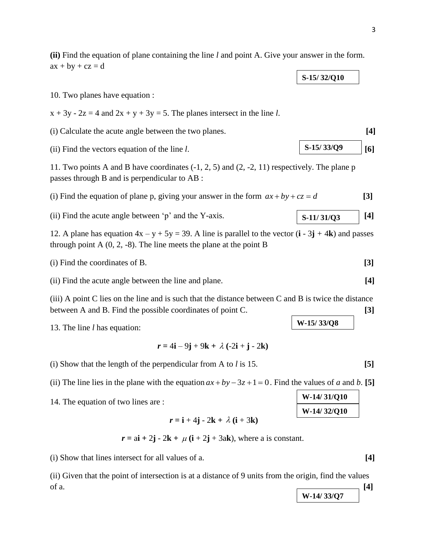(ii) Find the vectors equation of the line *l*. 
$$
\boxed{\textbf{S-15/33/Q9}}
$$
 [6]

**S-15/ 32/Q10**

**[3]**

(ii) Find the acute angle between 'p' and the Y-axis.  $\begin{bmatrix} S-11/31/03 \end{bmatrix}$  [4] **S-11/ 31/Q3**

(i) Find the coordinates of B. **[3]**

13. The line *l* has equation:

 $ax + by + cz = d$ 

10. Two planes have equation :

passes through B and is perpendicular to AB :

 $r = 4i - 9j + 9k + \lambda(-2i + j - 2k)$ 

**(ii)** Find the equation of plane containing the line *l* and point A. Give your answer in the form.

(i) Calculate the acute angle between the two planes. **[4]**

12. A plane has equation  $4x - y + 5y = 39$ . A line is parallel to the vector  $(i - 3j + 4k)$  and passes

(ii) Find the acute angle between the line and plane. **[4]**

(iii) A point C lies on the line and is such that the distance between C and B is twice the distance

11. Two points A and B have coordinates (-1, 2, 5) and (2, -2, 11) respectively. The plane p

(i) Find the equation of plane p, giving your answer in the form  $ax + by + cz = d$ 

 $x + 3y - 2z = 4$  and  $2x + y + 3y = 5$ . The planes intersect in the line *l*.

(i) Show that the length of the perpendicular from A to *l* is 15. **[5]**

through point A  $(0, 2, -8)$ . The line meets the plane at the point B

(ii) The line lies in the plane with the equation  $ax + by -3z + 1 = 0$ . Find the values of *a* and *b*. [5]

14. The equation of two lines are :

 $r = i + 4j - 2k + \lambda (i + 3k)$ 

 $r = a\mathbf{i} + 2\mathbf{j} - 2\mathbf{k} + \mu (\mathbf{i} + 2\mathbf{j} + 3\mathbf{ak})$ , where a is constant.

(i) Show that lines intersect for all values of a. **[4]**

(ii) Given that the point of intersection is at a distance of 9 units from the origin, find the values of a.  $[4]$ 

$$
f_{\rm{max}}
$$

**W-14/ 33/Q7**





- between A and B. Find the possible coordinates of point C. **[3]**
	- **W-15/ 33/Q8**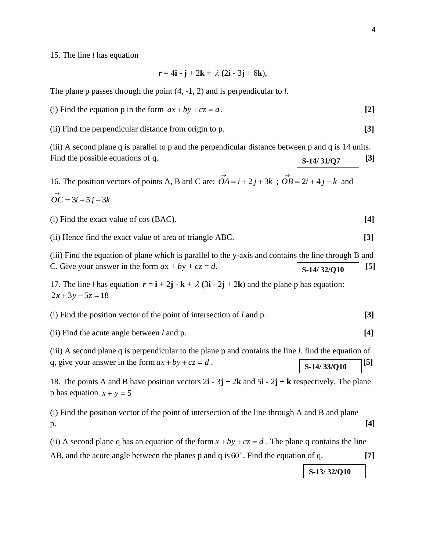15. The line *l* has equation

$$
r = 4\mathbf{i} - \mathbf{j} + 2\mathbf{k} + \lambda (2\mathbf{i} - 3\mathbf{j} + 6\mathbf{k}),
$$

The plane p passes through the point (4, -1, 2) and is perpendicular to *l*.

(i) Find the equation p in the form  $ax + by + cz = a$ . [2]

(ii) Find the perpendicular distance from origin to p. **[3]**

(iii) A second plane q is parallel to p and the perpendicular distance between p and q is 14 units. Find the possible equations of q.  $\boxed{\text{S}_{.14/31/}\Omega7}$  [3] **S-14/ 31/Q7**

16. The position vectors of points A, B ard C are:  $\overrightarrow{OA} = i + 2j + 3k$ ;  $\overrightarrow{OB} = 2i + 4j + k$  and

$$
\vec{OC} = 3i + 5j - 3k
$$

(i) Find the exact value of cos (BAC). **[4]**

(ii) Hence find the exact value of area of triangle ABC. **[3]**

(iii) Find the equation of plane which is parallel to the y-axis and contains the line through B and C. Give your answer in the form  $ax + by + cz = d$ .  $\boxed{\textbf{s}_1 \cdot \textbf{s}_2 \cdot \textbf{s}_3 \cdot \textbf{s}_4 \cdot \textbf{s}_5 \cdot \textbf{s}_6 \cdot \textbf{s}_7 \cdot \textbf{s}_8 \cdot \textbf{s}_8 \cdot \textbf{s}_8 \cdot \textbf{s}_9 \cdot \textbf{s}_9 \cdot \textbf{s}_9 \cdot \textbf{s}_9 \cdot \textbf{s}_9 \cdot \textbf{s}_9 \cdot \textbf{s}_9 \cdot \textbf{s}_9 \cdot \textbf{s}_9 \cdot \textbf{s}_9 \cdot \textbf{s}_9 \cdot \textbf{s}_9 \$ **S-14/ 32/Q10**

17. The line *l* has equation  $\mathbf{r} = \mathbf{i} + 2\mathbf{j} - \mathbf{k} + \lambda(3\mathbf{i} - 2\mathbf{j} + 2\mathbf{k})$  and the plane p has equation:  $2x + 3y - 5z = 18$ 

| (i) Find the position vector of the point of intersection of $l$ and $p$ . |  |
|----------------------------------------------------------------------------|--|
|----------------------------------------------------------------------------|--|

(ii) Find the acute angle between *l* and p. **[4]**

(iii) A second plane q is perpendicular to the plane p and contains the line *l*. find the equation of q, give your answer in the form  $ax + by + cz = d$ .  $\boxed{g(14/32/0.10)}$  [5] **S-14/ 33/Q10**

18. The points A and B have position vectors 2**i -** 3**j** + 2**k** and 5**i -** 2**j** + **k** respectively. The plane p has equation  $x + y = 5$ 

(i) Find the position vector of the point of intersection of the line through A and B and plane p. **[4]**

(ii) A second plane q has an equation of the form  $x + by + cz = d$ . The plane q contains the line AB, and the acute angle between the planes p and q is 60 . Find the equation of q. **[7]**

**S-13/ 32/Q10**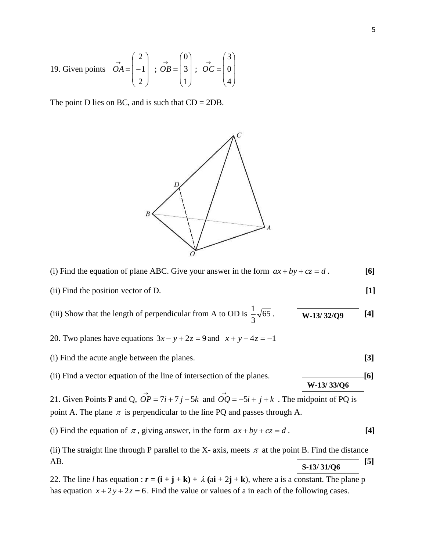19. Given points 
$$
\vec{OA} = \begin{pmatrix} 2 \\ -1 \\ 2 \end{pmatrix}
$$
;  $\vec{OB} = \begin{pmatrix} 0 \\ 3 \\ 1 \end{pmatrix}$ ;  $\vec{OC} = \begin{pmatrix} 3 \\ 0 \\ 4 \end{pmatrix}$ 

The point D lies on BC, and is such that  $CD = 2DB$ .



 $\sqrt{ }$ 

(i) Find the equation of plane ABC. Give your answer in the form  $ax + by + cz = d$ . [6]

(ii) Find the position vector of D. **[1]**

(iii) Show that the length of perpendicular from A to OD is 
$$
\frac{1}{3}\sqrt{65}
$$
.  $\boxed{\textbf{W-13/32/Q9}}$  [4]

20. Two planes have equations  $3x - y + 2z = 9$  and  $x + y - 4z = -1$ 

(i) Find the acute angle between the planes. **[3]**

(ii) Find a vector equation of the line of intersection of the planes. **[6]**

21. Given Points P and Q,  $\overrightarrow{OP} = 7i + 7j - 5k$  and  $\overrightarrow{OQ} = -5i + j + k$ . The midpoint of PQ is point A. The plane  $\pi$  is perpendicular to the line PQ and passes through A.

(i) Find the equation of  $\pi$ , giving answer, in the form  $ax + by + cz = d$ . [4]

(ii) The straight line through P parallel to the X- axis, meets  $\pi$  at the point B. Find the distance AB. **[5] S-13/ 31/Q6**

22. The line *l* has equation :  $\mathbf{r} = (\mathbf{i} + \mathbf{j} + \mathbf{k}) + \lambda (\mathbf{a}\mathbf{i} + 2\mathbf{j} + \mathbf{k})$ , where a is a constant. The plane p has equation  $x + 2y + 2z = 6$ . Find the value or values of a in each of the following cases.

**W-13/ 33/Q6**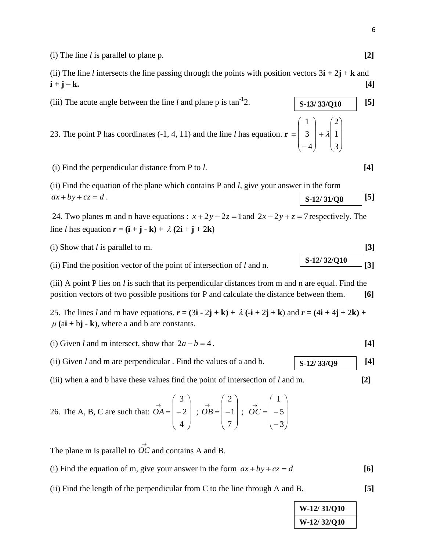(i) The line *l* is parallel to plane p. **[2]**

(ii) The line *l* intersects the line passing through the points with position vectors  $3\mathbf{i} + 2\mathbf{j} + \mathbf{k}$  and  $i + j - k.$  [4]

23. The point P has coordinates  $(-1, 4, 11)$  and the line *l* has equation.  $\mathbf{r} =$  $\overline{\phantom{a}}$  $\overline{\phantom{a}}$  $\begin{pmatrix} 1 \\ 1 \end{pmatrix}$ J  $\mathsf{I}$  $\setminus$ -4  $3 \mid + \lambda \mid 1 \mid$ 

(i) Find the perpendicular distance from P to *l*. **[4]**

(iii) The acute angle between the line  $l$  and plane p is  $tan^{-1}2$ .

(ii) Find the equation of the plane which contains P and *l*, give your answer in the form  $ax + by + cz = d$ . **[5] S-12/ 31/Q8**

24. Two planes m and n have equations :  $x + 2y - 2z = 1$  and  $2x - 2y + z = 7$  respectively. The line *l* has equation  $\mathbf{r} = (\mathbf{i} + \mathbf{j} - \mathbf{k}) + \lambda (2\mathbf{i} + \mathbf{j} + 2\mathbf{k})$ 

(i) Show that  $l$  is parallel to m.

(ii) Find the position vector of the point of intersection of *l* and n.  $\left[3\right]$ 

(iii) A point P lies on *l* is such that its perpendicular distances from m and n are equal. Find the position vectors of two possible positions for P and calculate the distance between them. **[6]**

25. The lines *l* and m have equations.  $\mathbf{r} = (3\mathbf{i} - 2\mathbf{j} + \mathbf{k}) + \lambda (\mathbf{-i} + 2\mathbf{j} + \mathbf{k})$  and  $\mathbf{r} = (4\mathbf{i} + 4\mathbf{j} + 2\mathbf{k}) +$  $\mu$  (a**i** + b**j** - **k**), where a and b are constants.

- (i) Given *l* and m intersect, show that  $2a b = 4$ . [4]
- (ii) Given *l* and m are perpendicular. Find the values of a and b.  $\begin{bmatrix} S-12/33/09 \end{bmatrix}$  [4]
- (iii) when a and b have these values find the point of intersection of *l* and m. **[2]**

26. The A, B, C are such that: 
$$
\vec{OA} = \begin{pmatrix} 3 \\ -2 \\ 4 \end{pmatrix} ; \vec{OB} = \begin{pmatrix} 2 \\ -1 \\ 7 \end{pmatrix} ; \vec{OC} = \begin{pmatrix} 1 \\ -5 \\ -3 \end{pmatrix}
$$

The plane m is parallel to  $\overrightarrow{OC}$  and contains A and B.

- (i) Find the equation of m, give your answer in the form  $ax + by + cz = d$
- (ii) Find the length of the perpendicular from C to the line through A and B. **[5]**



$$
\frac{\text{[3]}}{\text{S-12/32/010}}
$$

 $\overline{\phantom{a}}$ 

 $\mathsf{I}$  $\overline{ }$  $\int$ 

 $+ \lambda \begin{vmatrix} 1 \end{vmatrix}$ 

 $\setminus$ 

J

3

 $\overline{\phantom{a}}$ 

 $\backslash$ 

2

2. **S**  $\begin{array}{|c|c|c|c|} \hline \text{S-13/33/Q10} & \hline \end{array}$  [5]

1

ſ

$$
\left[\frac{\text{S-12/32/Q10}}{\text{S}}\right][3]
$$

$$
S-12/33/Q9 \qquad [4
$$

$$
hem. \qquad [6]
$$

$$
\overline{}
$$

**[6]**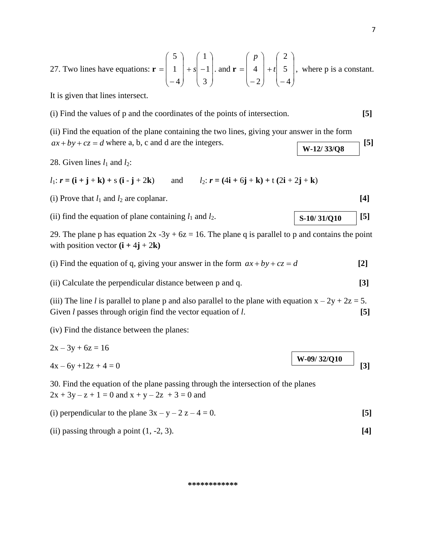J

 $\setminus$ 

J

 $\setminus$ 

It is given that lines intersect.

(i) Find the values of p and the coordinates of the points of intersection. **[5]**

 $\setminus$ 

J

(ii) Find the equation of the plane containing the two lines, giving your answer in the form  $ax + by + cz = d$  where a, b, c and d are the integers. **[5] W-12/ 33/Q8**

J

 $\setminus$ 

28. Given lines  $l_1$  and  $l_2$ :

 $l_1: r = (\mathbf{i} + \mathbf{j} + \mathbf{k}) + s (\mathbf{i} - \mathbf{j} + 2\mathbf{k})$  and  $l_2: r = (4\mathbf{i} + 6\mathbf{j} + \mathbf{k}) + t (2\mathbf{i} + 2\mathbf{j} + \mathbf{k})$ 

(i) Prove that  $l_1$  and  $l_2$  are coplanar. **[4] [4]** 

(ii) find the equation of plane containing  $l_1$  and  $l_2$ . **[5] [5] [5] [5]** 

29. The plane p has equation  $2x - 3y + 6z = 16$ . The plane q is parallel to p and contains the point with position vector  $(i + 4j + 2k)$ 

(i) Find the equation of q, giving your answer in the form  $ax + by + cz = d$ **[2]**

(ii) Calculate the perpendicular distance between p and q. **[3]**

(iii) The line *l* is parallel to plane p and also parallel to the plane with equation  $x - 2y + 2z = 5$ . Given *l* passes through origin find the vector equation of *l*. [5]

(iv) Find the distance between the planes:

$$
2x - 3y + 6z = 16
$$
  
4x - 6y + 12z + 4 = 0 [3]

30. Find the equation of the plane passing through the intersection of the planes  $2x + 3y - z + 1 = 0$  and  $x + y - 2z + 3 = 0$  and

(i) perpendicular to the plane 
$$
3x - y - 2z - 4 = 0
$$
. [5]

(ii) passing through a point (1, -2, 3). **[4]**

## **\*\*\*\*\*\*\*\*\*\*\*\***

$$
f_{\rm{max}}
$$

**S-10/ 31/Q10**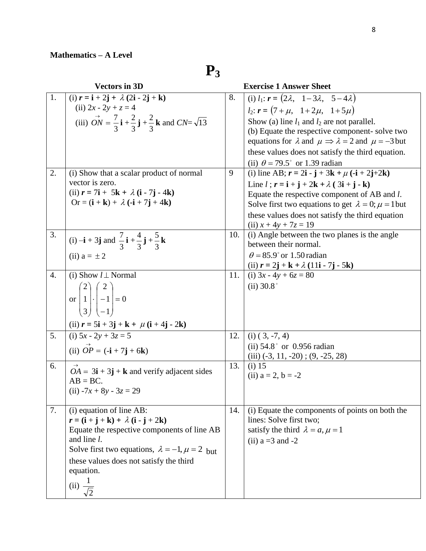**P3**

|                  | <b>Vectors in 3D</b>                                                                                                                                                                                                                                                                                                                                                                              |         | <b>Exercise 1 Answer Sheet</b>                                                                                                                                                                                                                                                                                                                                                                                                                                                                                                                                                                                                                      |
|------------------|---------------------------------------------------------------------------------------------------------------------------------------------------------------------------------------------------------------------------------------------------------------------------------------------------------------------------------------------------------------------------------------------------|---------|-----------------------------------------------------------------------------------------------------------------------------------------------------------------------------------------------------------------------------------------------------------------------------------------------------------------------------------------------------------------------------------------------------------------------------------------------------------------------------------------------------------------------------------------------------------------------------------------------------------------------------------------------------|
| 1.<br>2.         | (i) $r = i + 2j + \lambda (2i - 2j + k)$<br>(ii) $2x - 2y + z = 4$<br>(iii) $\vec{ON} = \frac{7}{3} \mathbf{i} + \frac{2}{3} \mathbf{j} + \frac{2}{3} \mathbf{k}$ and $\vec{CN} = \sqrt{13}$<br>(i) Show that a scalar product of normal<br>vector is zero.<br>(ii) $r = 7i + 5k + \lambda (i - 7j - 4k)$<br>Or = $(\mathbf{i} + \mathbf{k}) + \lambda (\mathbf{-i} + 7\mathbf{j} + 4\mathbf{k})$ | 8.<br>9 | (i) $l_1$ : $\mathbf{r} = (2\lambda, 1-3\lambda, 5-4\lambda)$<br>$l_2$ : $\mathbf{r} = (7 + \mu, 1 + 2\mu, 1 + 5\mu)$<br>Show (a) line $l_1$ and $l_2$ are not parallel.<br>(b) Equate the respective component-solve two<br>equations for $\lambda$ and $\mu \Rightarrow \lambda = 2$ and $\mu = -3$ but<br>these values does not satisfy the third equation.<br>(ii) $\theta = 79.5^{\circ}$ or 1.39 radian<br>(i) line AB; $r = 2i - j + 3k + \mu(-i + 2j + 2k)$<br>Line $l$ ; $r = i + j + 2k + \lambda$ (3i + j - k)<br>Equate the respective component of AB and <i>l</i> .<br>Solve first two equations to get $\lambda = 0$ ; $\mu = 1$ but |
|                  |                                                                                                                                                                                                                                                                                                                                                                                                   |         | these values does not satisfy the third equation<br>(ii) $x + 4y + 7z = 19$                                                                                                                                                                                                                                                                                                                                                                                                                                                                                                                                                                         |
| 3.               | (i) $-{\bf i} + 3{\bf j}$ and $\frac{7}{3}{\bf i} + \frac{4}{3}{\bf j} + \frac{5}{3}{\bf k}$<br>(ii) $a = \pm 2$                                                                                                                                                                                                                                                                                  | 10.     | (i) Angle between the two planes is the angle<br>between their normal.<br>$\theta$ = 85.9° or 1.50 radian                                                                                                                                                                                                                                                                                                                                                                                                                                                                                                                                           |
| $\overline{4}$ . | (i) Show $l \perp$ Normal<br>or $\begin{pmatrix} 2 \\ 1 \\ 3 \end{pmatrix}$ $\cdot \begin{pmatrix} 2 \\ -1 \\ -1 \end{pmatrix} = 0$<br>(ii) $r = 5i + 3j + k + \mu (i + 4j - 2k)$                                                                                                                                                                                                                 | 11.     | (ii) $r = 2j + k + \lambda (11i - 7j - 5k)$<br>(i) $3x - 4y + 6z = 80$<br>$(ii)$ 30.8 $^{\circ}$                                                                                                                                                                                                                                                                                                                                                                                                                                                                                                                                                    |
| 5.               | (i) $5x - 2y + 3z = 5$<br>(ii) $\overrightarrow{OP} = (-i + 7j + 6k)$                                                                                                                                                                                                                                                                                                                             | 12.     | $(i)$ $(3, -7, 4)$<br>(ii) $54.8^{\circ}$ or 0.956 radian<br>$(iii)$ (-3, 11, -20); (9, -25, 28)                                                                                                                                                                                                                                                                                                                                                                                                                                                                                                                                                    |
| 6.               | $OA = 3\mathbf{i} + 3\mathbf{j} + \mathbf{k}$ and verify adjacent sides<br>$AB = BC$ .<br>(ii) $-7x + 8y - 3z = 29$                                                                                                                                                                                                                                                                               | 13.     | $(i)$ 15<br>(ii) $a = 2$ , $b = -2$                                                                                                                                                                                                                                                                                                                                                                                                                                                                                                                                                                                                                 |
| 7.               | (i) equation of line AB:<br>$r = (\mathbf{i} + \mathbf{j} + \mathbf{k}) + \lambda (\mathbf{i} - \mathbf{j} + 2\mathbf{k})$<br>Equate the respective components of line AB<br>and line <i>l</i> .<br>Solve first two equations, $\lambda = -1$ , $\mu = 2$ but<br>these values does not satisfy the third<br>equation.<br>(ii) $\frac{1}{\sqrt{2}}$                                                | 14.     | (i) Equate the components of points on both the<br>lines: Solve first two;<br>satisfy the third $\lambda = a, \mu = 1$<br>(ii) $a = 3$ and $-2$                                                                                                                                                                                                                                                                                                                                                                                                                                                                                                     |